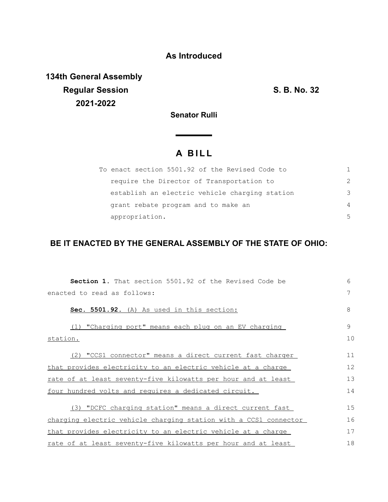## **As Introduced**

**134th General Assembly Regular Session S. B. No. 32 2021-2022**

**Senator Rulli**

## **A B I L L**

| To enact section 5501.92 of the Revised Code to |                |
|-------------------------------------------------|----------------|
| require the Director of Transportation to       | $\mathcal{P}$  |
| establish an electric vehicle charging station  | 3              |
| grant rebate program and to make an             | $\overline{4}$ |
| appropriation.                                  | 5              |

## **BE IT ENACTED BY THE GENERAL ASSEMBLY OF THE STATE OF OHIO:**

| <b>Section 1.</b> That section 5501.92 of the Revised Code be    | 6  |
|------------------------------------------------------------------|----|
| enacted to read as follows:                                      | 7  |
| Sec. 5501.92. (A) As used in this section:                       | 8  |
| (1) "Charging port" means each plug on an EV charging            | 9  |
| station.                                                         | 10 |
| (2) "CCS1 connector" means a direct current fast charger         | 11 |
| that provides electricity to an electric vehicle at a charge     | 12 |
| rate of at least seventy-five kilowatts per hour and at least    | 13 |
| four hundred volts and requires a dedicated circuit.             | 14 |
| (3) "DCFC charging station" means a direct current fast          | 15 |
| charging electric vehicle charging station with a CCS1 connector | 16 |
| that provides electricity to an electric vehicle at a charge     | 17 |
| rate of at least seventy-five kilowatts per hour and at least    | 18 |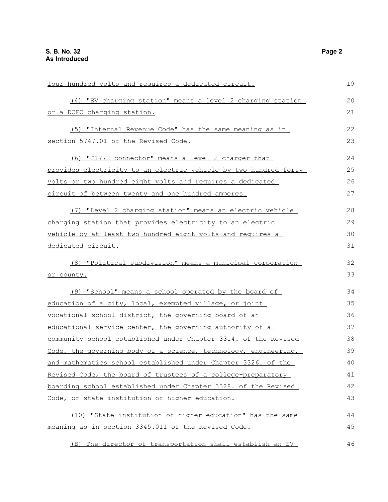| four hundred volts and requires a dedicated circuit.             | 19 |
|------------------------------------------------------------------|----|
| (4) "EV charging station" means a level 2 charging station       | 20 |
| or a DCFC charging station.                                      | 21 |
| (5) "Internal Revenue Code" has the same meaning as in           | 22 |
| section 5747.01 of the Revised Code.                             | 23 |
| (6) "J1772 connector" means a level 2 charger that               | 24 |
| provides electricity to an electric vehicle by two hundred forty | 25 |
| volts or two hundred eight volts and requires a dedicated        | 26 |
| circuit of between twenty and one hundred amperes.               | 27 |
| (7) "Level 2 charging station" means an electric vehicle         | 28 |
| charging station that provides electricity to an electric        | 29 |
| vehicle by at least two hundred eight volts and requires a       | 30 |
| dedicated circuit.                                               | 31 |
| (8) "Political subdivision" means a municipal corporation        | 32 |
| or county.                                                       | 33 |
| (9) "School" means a school operated by the board of             | 34 |
| education of a city, local, exempted village, or joint           |    |
| vocational school district, the governing board of an            | 36 |
| educational service center, the governing authority of a         | 37 |
| community school established under Chapter 3314. of the Revised  | 38 |
| Code, the governing body of a science, technology, engineering,  | 39 |
| and mathematics school established under Chapter 3326. of the    | 40 |
| Revised Code, the board of trustees of a college-preparatory     | 41 |
| boarding school established under Chapter 3328. of the Revised   | 42 |
| Code, or state institution of higher education.                  | 43 |
| (10) "State institution of higher education" has the same        | 44 |
| meaning as in section 3345.011 of the Revised Code.              | 45 |
| (B) The director of transportation shall establish an EV         | 46 |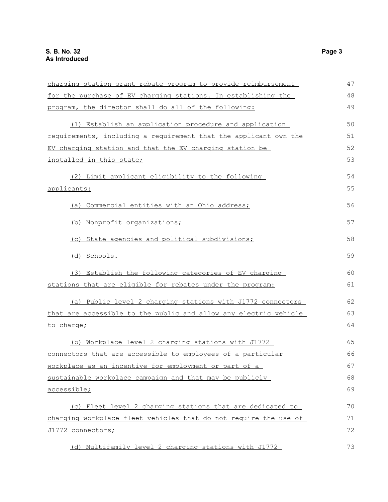| charging station grant rebate program to provide reimbursement   | 47 |
|------------------------------------------------------------------|----|
| for the purchase of EV charging stations. In establishing the    | 48 |
| program, the director shall do all of the following:             | 49 |
| (1) Establish an application procedure and application           | 50 |
| requirements, including a requirement that the applicant own the | 51 |
| EV charging station and that the EV charging station be          | 52 |
| installed in this state;                                         | 53 |
| (2) Limit applicant eligibility to the following                 | 54 |
| applicants:                                                      | 55 |
| (a) Commercial entities with an Ohio address;                    | 56 |
| (b) Nonprofit organizations;                                     | 57 |
| (c) State agencies and political subdivisions;                   | 58 |
| (d) Schools.                                                     | 59 |
| (3) Establish the following categories of EV charging            | 60 |
| stations that are eligible for rebates under the program:        | 61 |
| (a) Public level 2 charging stations with J1772 connectors       | 62 |
| that are accessible to the public and allow any electric vehicle | 63 |
| to charge;                                                       | 64 |
| (b) Workplace level 2 charging stations with J1772               | 65 |
| connectors that are accessible to employees of a particular      | 66 |
| workplace as an incentive for employment or part of a            | 67 |
| sustainable workplace campaign and that may be publicly          | 68 |
| accessible;                                                      | 69 |
| (c) Fleet level 2 charging stations that are dedicated to        | 70 |
| charging workplace fleet vehicles that do not require the use of | 71 |
| J1772 connectors;                                                | 72 |
| (d) Multifamily level 2 charging stations with J1772             | 73 |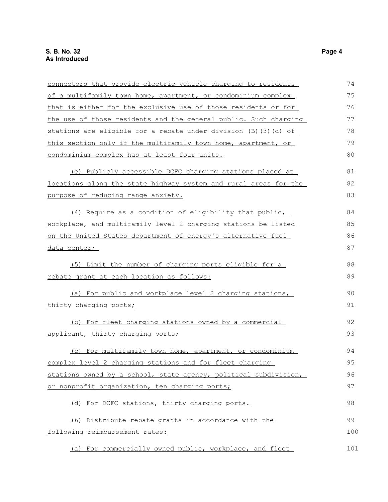| connectors that provide electric vehicle charging to residents   | 74  |
|------------------------------------------------------------------|-----|
| of a multifamily town home, apartment, or condominium complex    | 75  |
| that is either for the exclusive use of those residents or for   | 76  |
| the use of those residents and the general public. Such charging | 77  |
| stations are eligible for a rebate under division (B) (3) (d) of | 78  |
| this section only if the multifamily town home, apartment, or    | 79  |
| condominium complex has at least four units.                     | 80  |
| (e) Publicly accessible DCFC charging stations placed at         | 81  |
| locations along the state highway system and rural areas for the | 82  |
| purpose of reducing range anxiety.                               | 83  |
| (4) Require as a condition of eligibility that public,           | 84  |
| workplace, and multifamily level 2 charging stations be listed   | 85  |
| on the United States department of energy's alternative fuel     | 86  |
| <u>data center;</u>                                              | 87  |
| (5) Limit the number of charging ports eligible for a            | 88  |
| rebate grant at each location as follows:                        | 89  |
| (a) For public and workplace level 2 charging stations,          | 90  |
| thirty charging ports;                                           | 91  |
| (b) For fleet charging stations owned by a commercial            | 92  |
| applicant, thirty charging ports;                                | 93  |
| (c) For multifamily town home, apartment, or condominium         | 94  |
| complex level 2 charging stations and for fleet charging         | 95  |
| stations owned by a school, state agency, political subdivision, | 96  |
| or nonprofit organization, ten charging ports;                   | 97  |
| (d) For DCFC stations, thirty charging ports.                    | 98  |
| (6) Distribute rebate grants in accordance with the              | 99  |
| following reimbursement rates:                                   | 100 |
| (a) For commercially owned public, workplace, and fleet          | 101 |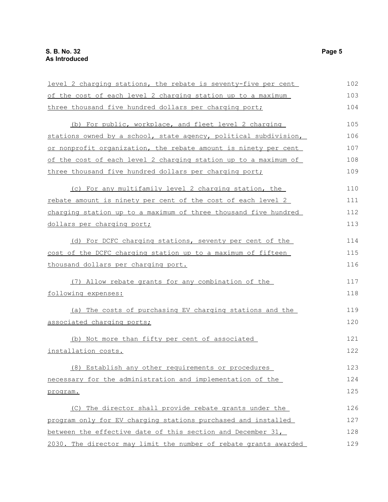| level 2 charging stations, the rebate is seventy-five per cent   | 102 |
|------------------------------------------------------------------|-----|
| of the cost of each level 2 charging station up to a maximum     | 103 |
| three thousand five hundred dollars per charging port;           | 104 |
| (b) For public, workplace, and fleet level 2 charging            | 105 |
| stations owned by a school, state agency, political subdivision, | 106 |
| or nonprofit organization, the rebate amount is ninety per cent  | 107 |
| of the cost of each level 2 charging station up to a maximum of  | 108 |
| three thousand five hundred dollars per charging port;           | 109 |
| (c) For any multifamily level 2 charging station, the            | 110 |
| rebate amount is ninety per cent of the cost of each level 2     | 111 |
| charging station up to a maximum of three thousand five hundred  | 112 |
| dollars per charging port;                                       | 113 |
| (d) For DCFC charging stations, seventy per cent of the          | 114 |
| cost of the DCFC charging station up to a maximum of fifteen     |     |
| thousand dollars per charging port.                              | 116 |
| (7) Allow rebate grants for any combination of the               | 117 |
| following expenses:                                              | 118 |
| (a) The costs of purchasing EV charging stations and the         | 119 |
| associated charging ports;                                       | 120 |
| (b) Not more than fifty per cent of associated                   | 121 |
| installation costs.                                              | 122 |
| (8) Establish any other requirements or procedures               | 123 |
| necessary for the administration and implementation of the       | 124 |
| program.                                                         | 125 |
| (C) The director shall provide rebate grants under the           | 126 |
| program only for EV charging stations purchased and installed    | 127 |
| between the effective date of this section and December 31,      | 128 |
| 2030. The director may limit the number of rebate grants awarded | 129 |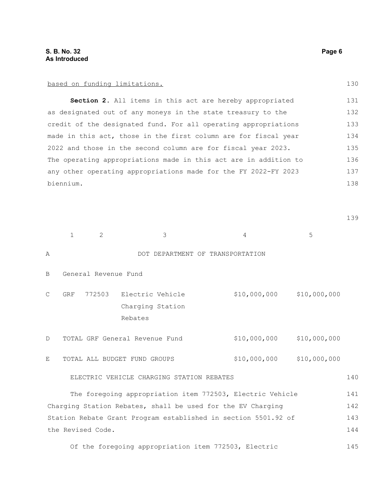## based on funding limitations.

**Section 2.** All items in this act are hereby appropriated as designated out of any moneys in the state treasury to the credit of the designated fund. For all operating appropriations made in this act, those in the first column are for fiscal year 2022 and those in the second column are for fiscal year 2023. The operating appropriations made in this act are in addition to any other operating appropriations made for the FY 2022-FY 2023 biennium. 131 132 133 134 135 136 137 138

139

|                   | $\mathbf{1}$                                                   | $\overline{2}$ | 3                                                      | 4            | 5            |     |
|-------------------|----------------------------------------------------------------|----------------|--------------------------------------------------------|--------------|--------------|-----|
| A                 | DOT DEPARTMENT OF TRANSPORTATION                               |                |                                                        |              |              |     |
| <sub>R</sub>      | General Revenue Fund                                           |                |                                                        |              |              |     |
| $\mathcal{C}$     | GRF                                                            |                | 772503 Electric Vehicle<br>Charging Station<br>Rebates | \$10,000,000 | \$10,000,000 |     |
| D                 |                                                                |                | TOTAL GRF General Revenue Fund                         | \$10,000,000 | \$10,000,000 |     |
| E                 |                                                                |                | TOTAL ALL BUDGET FUND GROUPS                           | \$10,000,000 | \$10,000,000 |     |
|                   | ELECTRIC VEHICLE CHARGING STATION REBATES                      |                |                                                        |              |              | 140 |
|                   | The foregoing appropriation item 772503, Electric Vehicle      |                |                                                        |              |              |     |
|                   | Charging Station Rebates, shall be used for the EV Charging    |                |                                                        |              |              |     |
|                   | Station Rebate Grant Program established in section 5501.92 of |                |                                                        |              |              | 143 |
| the Revised Code. |                                                                |                |                                                        |              | 144          |     |

Of the foregoing appropriation item 772503, Electric 145

130